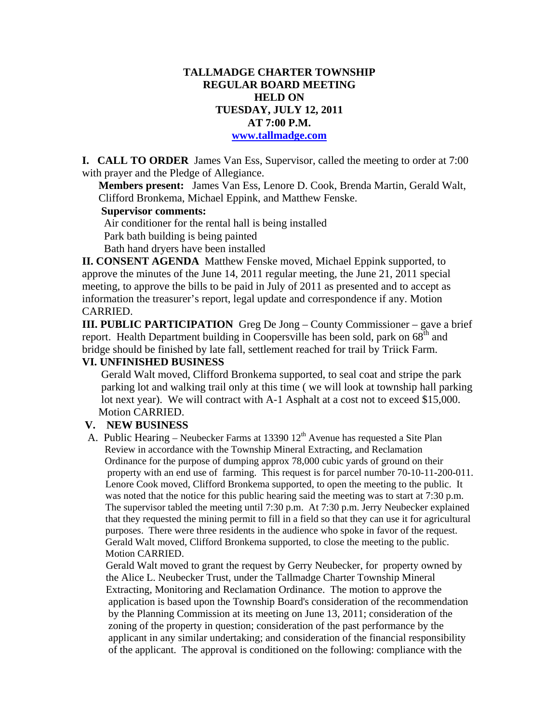# **TALLMADGE CHARTER TOWNSHIP REGULAR BOARD MEETING HELD ON TUESDAY, JULY 12, 2011 AT 7:00 P.M. www.tallmadge.com**

**I. CALL TO ORDER** James Van Ess, Supervisor, called the meeting to order at 7:00 with prayer and the Pledge of Allegiance.

**Members present:** James Van Ess, Lenore D. Cook, Brenda Martin, Gerald Walt, Clifford Bronkema, Michael Eppink, and Matthew Fenske.

#### **Supervisor comments:**

 Air conditioner for the rental hall is being installed Park bath building is being painted Bath hand dryers have been installed

**II. CONSENT AGENDA** Matthew Fenske moved, Michael Eppink supported, to approve the minutes of the June 14, 2011 regular meeting, the June 21, 2011 special meeting, to approve the bills to be paid in July of 2011 as presented and to accept as information the treasurer's report, legal update and correspondence if any. Motion CARRIED.

**III. PUBLIC PARTICIPATION** Greg De Jong – County Commissioner – gave a brief report. Health Department building in Coopersville has been sold, park on 68<sup>th</sup> and bridge should be finished by late fall, settlement reached for trail by Triick Farm.

# **VI. UNFINISHED BUSINESS**

Gerald Walt moved, Clifford Bronkema supported, to seal coat and stripe the park parking lot and walking trail only at this time ( we will look at township hall parking lot next year). We will contract with A-1 Asphalt at a cost not to exceed \$15,000. Motion CARRIED.

## **V. NEW BUSINESS**

A. Public Hearing – Neubecker Farms at 13390  $12<sup>th</sup>$  Avenue has requested a Site Plan Review in accordance with the Township Mineral Extracting, and Reclamation Ordinance for the purpose of dumping approx 78,000 cubic yards of ground on their property with an end use of farming. This request is for parcel number 70-10-11-200-011. Lenore Cook moved, Clifford Bronkema supported, to open the meeting to the public. It was noted that the notice for this public hearing said the meeting was to start at 7:30 p.m. The supervisor tabled the meeting until 7:30 p.m. At 7:30 p.m. Jerry Neubecker explained that they requested the mining permit to fill in a field so that they can use it for agricultural purposes. There were three residents in the audience who spoke in favor of the request. Gerald Walt moved, Clifford Bronkema supported, to close the meeting to the public. Motion CARRIED.

 Gerald Walt moved to grant the request by Gerry Neubecker, for property owned by the Alice L. Neubecker Trust, under the Tallmadge Charter Township Mineral Extracting, Monitoring and Reclamation Ordinance. The motion to approve the application is based upon the Township Board's consideration of the recommendation by the Planning Commission at its meeting on June 13, 2011; consideration of the zoning of the property in question; consideration of the past performance by the applicant in any similar undertaking; and consideration of the financial responsibility of the applicant. The approval is conditioned on the following: compliance with the